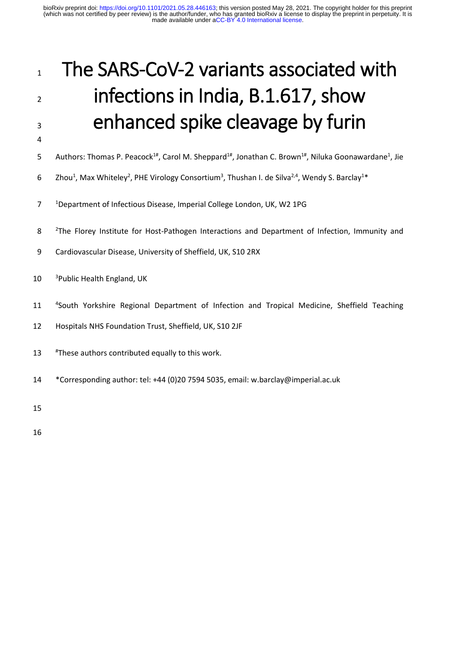# 1 The SARS-CoV-2 variants associated with 2 infections in India, B.1.617, show 3 enhanced spike cleavage by furin

- 4
- 5 Authors: Thomas P. Peacock<sup>1#</sup>, Carol M. Sheppard<sup>1#</sup>, Jonathan C. Brown<sup>1#</sup>, Niluka Goonawardane<sup>1</sup>, Jie
- 6 Zhou<sup>1</sup>, Max Whiteley<sup>2</sup>, PHE Virology Consortium<sup>3</sup>, Thushan I. de Silva<sup>2,4</sup>, Wendy S. Barclay<sup>1\*</sup>
- <sup>1</sup> 7 Department of Infectious Disease, Imperial College London, UK, W2 1PG
- 8 <sup>2</sup>The Florey Institute for Host-Pathogen Interactions and Department of Infection, Immunity and
- 9 Cardiovascular Disease, University of Sheffield, UK, S10 2RX
- $10<sup>3</sup>$  Public Health England, UK
- 11 <sup>4</sup> South Yorkshire Regional Department of Infection and Tropical Medicine, Sheffield Teaching
- 12 Hospitals NHS Foundation Trust, Sheffield, UK, S10 2JF
- 13 # These authors contributed equally to this work.
- 14 \*Corresponding author: tel: +44 (0)20 7594 5035, email: w.barclay@imperial.ac.uk

15

16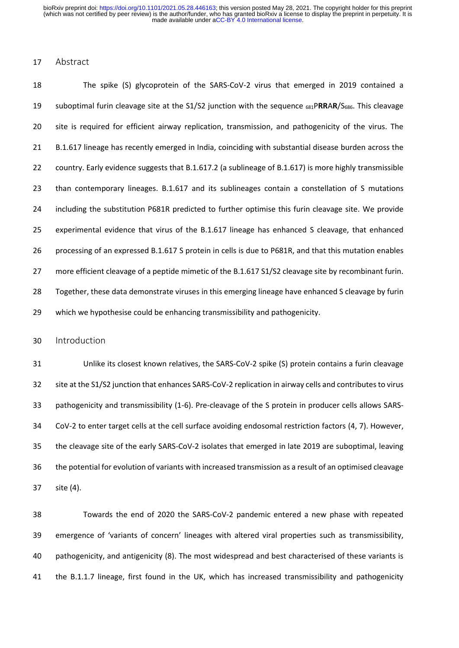## Abstract

 The spike (S) glycoprotein of the SARS-CoV-2 virus that emerged in 2019 contained a suboptimal furin cleavage site at the S1/S2 junction with the sequence 681P**RR**A**R**/S686. This cleavage site is required for efficient airway replication, transmission, and pathogenicity of the virus. The B.1.617 lineage has recently emerged in India, coinciding with substantial disease burden across the country. Early evidence suggests that B.1.617.2 (a sublineage of B.1.617) is more highly transmissible than contemporary lineages. B.1.617 and its sublineages contain a constellation of S mutations including the substitution P681R predicted to further optimise this furin cleavage site. We provide experimental evidence that virus of the B.1.617 lineage has enhanced S cleavage, that enhanced processing of an expressed B.1.617 S protein in cells is due to P681R, and that this mutation enables more efficient cleavage of a peptide mimetic of the B.1.617 S1/S2 cleavage site by recombinant furin. Together, these data demonstrate viruses in this emerging lineage have enhanced S cleavage by furin which we hypothesise could be enhancing transmissibility and pathogenicity.

Introduction

 Unlike its closest known relatives, the SARS-CoV-2 spike (S) protein contains a furin cleavage site at the S1/S2 junction that enhances SARS-CoV-2 replication in airway cells and contributes to virus pathogenicity and transmissibility (1-6). Pre-cleavage of the S protein in producer cells allows SARS- CoV-2 to enter target cells at the cell surface avoiding endosomal restriction factors (4, 7). However, the cleavage site of the early SARS-CoV-2 isolates that emerged in late 2019 are suboptimal, leaving the potential for evolution of variants with increased transmission as a result of an optimised cleavage site (4).

 Towards the end of 2020 the SARS-CoV-2 pandemic entered a new phase with repeated emergence of 'variants of concern' lineages with altered viral properties such as transmissibility, pathogenicity, and antigenicity (8). The most widespread and best characterised of these variants is the B.1.1.7 lineage, first found in the UK, which has increased transmissibility and pathogenicity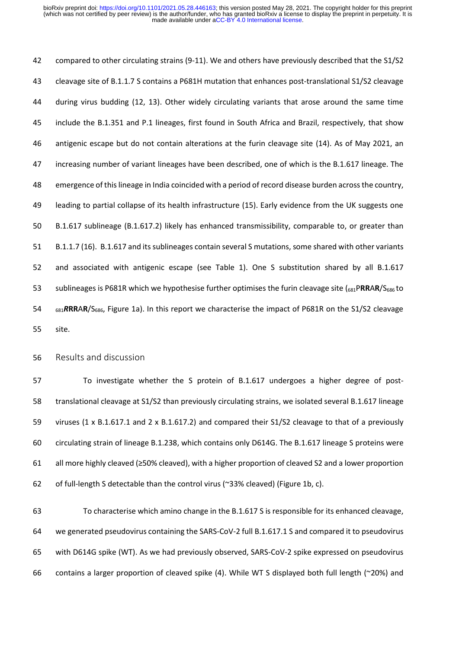compared to other circulating strains (9-11). We and others have previously described that the S1/S2 cleavage site of B.1.1.7 S contains a P681H mutation that enhances post-translational S1/S2 cleavage during virus budding (12, 13). Other widely circulating variants that arose around the same time include the B.1.351 and P.1 lineages, first found in South Africa and Brazil, respectively, that show antigenic escape but do not contain alterations at the furin cleavage site (14). As of May 2021, an increasing number of variant lineages have been described, one of which is the B.1.617 lineage. The emergence of this lineage in India coincided with a period of record disease burden across the country, leading to partial collapse of its health infrastructure (15). Early evidence from the UK suggests one B.1.617 sublineage (B.1.617.2) likely has enhanced transmissibility, comparable to, or greater than B.1.1.7 (16). B.1.617 and its sublineages contain several S mutations, some shared with other variants and associated with antigenic escape (see Table 1). One S substitution shared by all B.1.617 sublineages is P681R which we hypothesise further optimises the furin cleavage site (681P**RR**A**R**/S686 to <sup>681</sup>*R***RR**A**R**/S686, Figure 1a). In this report we characterise the impact of P681R on the S1/S2 cleavage site.

Results and discussion

 To investigate whether the S protein of B.1.617 undergoes a higher degree of post- translational cleavage at S1/S2 than previously circulating strains, we isolated several B.1.617 lineage viruses (1 x B.1.617.1 and 2 x B.1.617.2) and compared their S1/S2 cleavage to that of a previously circulating strain of lineage B.1.238, which contains only D614G. The B.1.617 lineage S proteins were all more highly cleaved (≥50% cleaved), with a higher proportion of cleaved S2 and a lower proportion of full-length S detectable than the control virus (~33% cleaved) (Figure 1b, c).

 To characterise which amino change in the B.1.617 S is responsible for its enhanced cleavage, we generated pseudovirus containing the SARS-CoV-2 full B.1.617.1 S and compared it to pseudovirus with D614G spike (WT). As we had previously observed, SARS-CoV-2 spike expressed on pseudovirus contains a larger proportion of cleaved spike (4). While WT S displayed both full length (~20%) and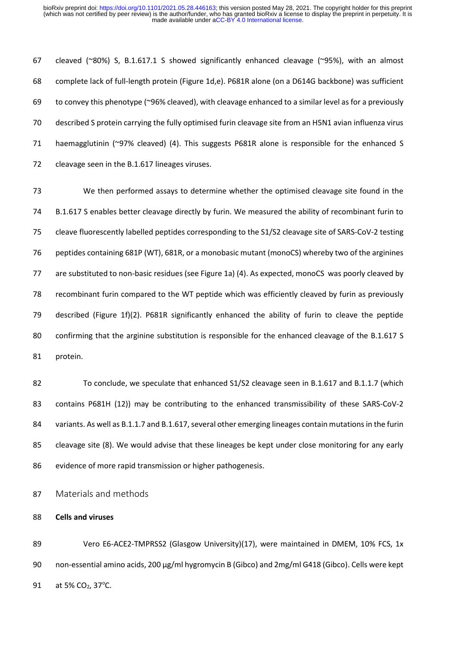cleaved (~80%) S, B.1.617.1 S showed significantly enhanced cleavage (~95%), with an almost complete lack of full-length protein (Figure 1d,e). P681R alone (on a D614G backbone) was sufficient to convey this phenotype (~96% cleaved), with cleavage enhanced to a similar level as for a previously described S protein carrying the fully optimised furin cleavage site from an H5N1 avian influenza virus haemagglutinin (~97% cleaved) (4). This suggests P681R alone is responsible for the enhanced S cleavage seen in the B.1.617 lineages viruses.

 We then performed assays to determine whether the optimised cleavage site found in the B.1.617 S enables better cleavage directly by furin. We measured the ability of recombinant furin to cleave fluorescently labelled peptides corresponding to the S1/S2 cleavage site of SARS-CoV-2 testing peptides containing 681P (WT), 681R, or a monobasic mutant (monoCS) whereby two of the arginines are substituted to non-basic residues (see Figure 1a) (4). As expected, monoCS was poorly cleaved by recombinant furin compared to the WT peptide which was efficiently cleaved by furin as previously described (Figure 1f)(2). P681R significantly enhanced the ability of furin to cleave the peptide confirming that the arginine substitution is responsible for the enhanced cleavage of the B.1.617 S protein.

 To conclude, we speculate that enhanced S1/S2 cleavage seen in B.1.617 and B.1.1.7 (which contains P681H (12)) may be contributing to the enhanced transmissibility of these SARS-CoV-2 84 variants. As well as B.1.1.7 and B.1.617, several other emerging lineages contain mutations in the furin cleavage site (8). We would advise that these lineages be kept under close monitoring for any early evidence of more rapid transmission or higher pathogenesis.

Materials and methods

**Cells and viruses**

 Vero E6-ACE2-TMPRSS2 (Glasgow University)(17), were maintained in DMEM, 10% FCS, 1x non-essential amino acids, 200 µg/ml hygromycin B (Gibco) and 2mg/ml G418 (Gibco). Cells were kept 91 at 5% CO<sub>2</sub>, 37°C.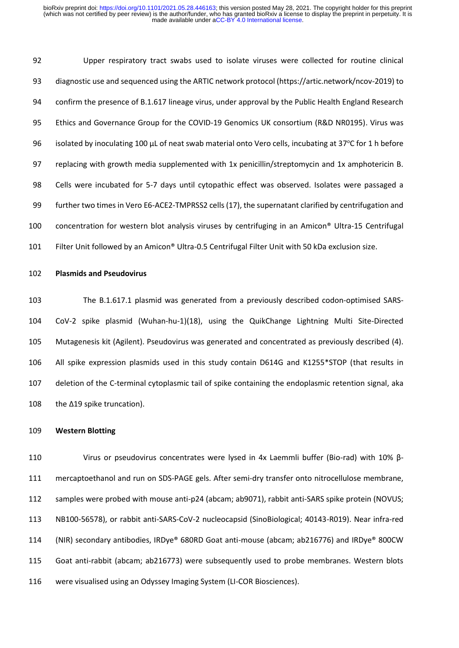Upper respiratory tract swabs used to isolate viruses were collected for routine clinical diagnostic use and sequenced using the ARTIC network protocol (https://artic.network/ncov-2019) to confirm the presence of B.1.617 lineage virus, under approval by the Public Health England Research Ethics and Governance Group for the COVID-19 Genomics UK consortium (R&D NR0195). Virus was 96 isolated by inoculating 100  $\mu$ L of neat swab material onto Vero cells, incubating at 37°C for 1 h before replacing with growth media supplemented with 1x penicillin/streptomycin and 1x amphotericin B. Cells were incubated for 5-7 days until cytopathic effect was observed. Isolates were passaged a further two times in Vero E6-ACE2-TMPRSS2 cells(17), the supernatant clarified by centrifugation and concentration for western blot analysis viruses by centrifuging in an Amicon® Ultra-15 Centrifugal Filter Unit followed by an Amicon® Ultra-0.5 Centrifugal Filter Unit with 50 kDa exclusion size.

### **Plasmids and Pseudovirus**

 The B.1.617.1 plasmid was generated from a previously described codon-optimised SARS- CoV-2 spike plasmid (Wuhan-hu-1)(18), using the QuikChange Lightning Multi Site-Directed Mutagenesis kit (Agilent). Pseudovirus was generated and concentrated as previously described (4). All spike expression plasmids used in this study contain D614G and K1255\*STOP (that results in deletion of the C-terminal cytoplasmic tail of spike containing the endoplasmic retention signal, aka the Δ19 spike truncation).

#### **Western Blotting**

 Virus or pseudovirus concentrates were lysed in 4x Laemmli buffer (Bio-rad) with 10% β- mercaptoethanol and run on SDS-PAGE gels. After semi-dry transfer onto nitrocellulose membrane, samples were probed with mouse anti-p24 (abcam; ab9071), rabbit anti-SARS spike protein (NOVUS; NB100-56578), or rabbit anti-SARS-CoV-2 nucleocapsid (SinoBiological; 40143-R019). Near infra-red (NIR) secondary antibodies, IRDye® 680RD Goat anti-mouse (abcam; ab216776) and IRDye® 800CW Goat anti-rabbit (abcam; ab216773) were subsequently used to probe membranes. Western blots were visualised using an Odyssey Imaging System (LI-COR Biosciences).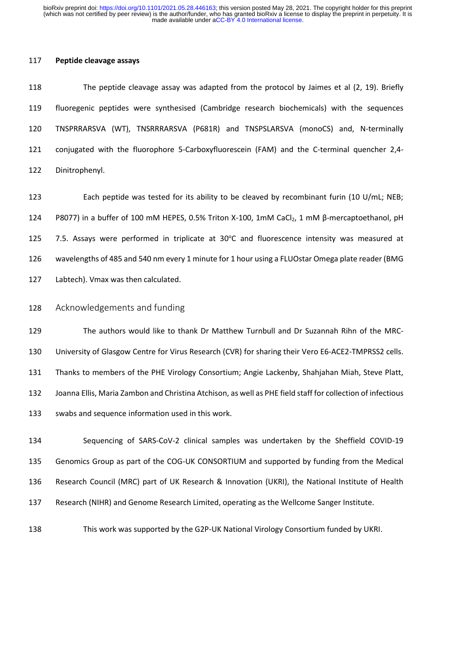## **Peptide cleavage assays**

 The peptide cleavage assay was adapted from the protocol by Jaimes et al (2, 19). Briefly fluoregenic peptides were synthesised (Cambridge research biochemicals) with the sequences TNSPRRARSVA (WT), TNSRRRARSVA (P681R) and TNSPSLARSVA (monoCS) and, N-terminally conjugated with the fluorophore 5-Carboxyfluorescein (FAM) and the C-terminal quencher 2,4- Dinitrophenyl.

 Each peptide was tested for its ability to be cleaved by recombinant furin (10 U/mL; NEB; 124 P8077) in a buffer of 100 mM HEPES, 0.5% Triton X-100, 1mM CaCl<sub>2</sub>, 1 mM β-mercaptoethanol, pH  $-7.5$ . Assays were performed in triplicate at  $30^{\circ}$ C and fluorescence intensity was measured at wavelengths of 485 and 540 nm every 1 minute for 1 hour using a FLUOstar Omega plate reader (BMG Labtech). Vmax was then calculated.

# Acknowledgements and funding

 The authors would like to thank Dr Matthew Turnbull and Dr Suzannah Rihn of the MRC- University of Glasgow Centre for Virus Research (CVR) for sharing their Vero E6-ACE2-TMPRSS2 cells. Thanks to members of the PHE Virology Consortium; Angie Lackenby, Shahjahan Miah, Steve Platt, Joanna Ellis, Maria Zambon and Christina Atchison, as well as PHE field staff for collection of infectious swabs and sequence information used in this work.

 Sequencing of SARS-CoV-2 clinical samples was undertaken by the Sheffield COVID-19 Genomics Group as part of the COG-UK CONSORTIUM and supported by funding from the Medical Research Council (MRC) part of UK Research & Innovation (UKRI), the National Institute of Health Research (NIHR) and Genome Research Limited, operating as the Wellcome Sanger Institute.

This work was supported by the G2P-UK National Virology Consortium funded by UKRI.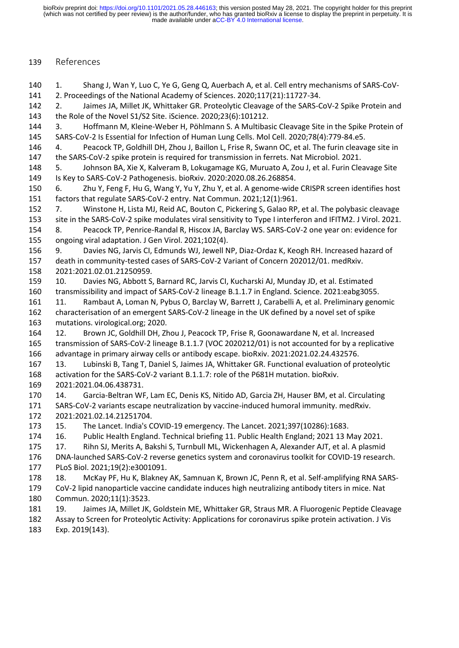# References

 1. Shang J, Wan Y, Luo C, Ye G, Geng Q, Auerbach A, et al. Cell entry mechanisms of SARS-CoV- 2. Proceedings of the National Academy of Sciences. 2020;117(21):11727-34. 2. Jaimes JA, Millet JK, Whittaker GR. Proteolytic Cleavage of the SARS-CoV-2 Spike Protein and

the Role of the Novel S1/S2 Site. iScience. 2020;23(6):101212.

 3. Hoffmann M, Kleine-Weber H, Pöhlmann S. A Multibasic Cleavage Site in the Spike Protein of SARS-CoV-2 Is Essential for Infection of Human Lung Cells. Mol Cell. 2020;78(4):779-84.e5.

 4. Peacock TP, Goldhill DH, Zhou J, Baillon L, Frise R, Swann OC, et al. The furin cleavage site in the SARS-CoV-2 spike protein is required for transmission in ferrets. Nat Microbiol. 2021.

 5. Johnson BA, Xie X, Kalveram B, Lokugamage KG, Muruato A, Zou J, et al. Furin Cleavage Site Is Key to SARS-CoV-2 Pathogenesis. bioRxiv. 2020:2020.08.26.268854.

 6. Zhu Y, Feng F, Hu G, Wang Y, Yu Y, Zhu Y, et al. A genome-wide CRISPR screen identifies host factors that regulate SARS-CoV-2 entry. Nat Commun. 2021;12(1):961.

 7. Winstone H, Lista MJ, Reid AC, Bouton C, Pickering S, Galao RP, et al. The polybasic cleavage site in the SARS-CoV-2 spike modulates viral sensitivity to Type I interferon and IFITM2. J Virol. 2021. 8. Peacock TP, Penrice-Randal R, Hiscox JA, Barclay WS. SARS-CoV-2 one year on: evidence for

ongoing viral adaptation. J Gen Virol. 2021;102(4).

 9. Davies NG, Jarvis CI, Edmunds WJ, Jewell NP, Diaz-Ordaz K, Keogh RH. Increased hazard of death in community-tested cases of SARS-CoV-2 Variant of Concern 202012/01. medRxiv. 2021:2021.02.01.21250959.

 10. Davies NG, Abbott S, Barnard RC, Jarvis CI, Kucharski AJ, Munday JD, et al. Estimated transmissibility and impact of SARS-CoV-2 lineage B.1.1.7 in England. Science. 2021:eabg3055.

 11. Rambaut A, Loman N, Pybus O, Barclay W, Barrett J, Carabelli A, et al. Preliminary genomic characterisation of an emergent SARS-CoV-2 lineage in the UK defined by a novel set of spike mutations. virological.org; 2020.

 12. Brown JC, Goldhill DH, Zhou J, Peacock TP, Frise R, Goonawardane N, et al. Increased transmission of SARS-CoV-2 lineage B.1.1.7 (VOC 2020212/01) is not accounted for by a replicative advantage in primary airway cells or antibody escape. bioRxiv. 2021:2021.02.24.432576.

 13. Lubinski B, Tang T, Daniel S, Jaimes JA, Whittaker GR. Functional evaluation of proteolytic activation for the SARS-CoV-2 variant B.1.1.7: role of the P681H mutation. bioRxiv. 2021:2021.04.06.438731.

 14. Garcia-Beltran WF, Lam EC, Denis KS, Nitido AD, Garcia ZH, Hauser BM, et al. Circulating SARS-CoV-2 variants escape neutralization by vaccine-induced humoral immunity. medRxiv. 2021:2021.02.14.21251704.

15. The Lancet. India's COVID-19 emergency. The Lancet. 2021;397(10286):1683.

16. Public Health England. Technical briefing 11. Public Health England; 2021 13 May 2021.

17. Rihn SJ, Merits A, Bakshi S, Turnbull ML, Wickenhagen A, Alexander AJT, et al. A plasmid

 DNA-launched SARS-CoV-2 reverse genetics system and coronavirus toolkit for COVID-19 research. PLoS Biol. 2021;19(2):e3001091.

 18. McKay PF, Hu K, Blakney AK, Samnuan K, Brown JC, Penn R, et al. Self-amplifying RNA SARS- CoV-2 lipid nanoparticle vaccine candidate induces high neutralizing antibody titers in mice. Nat Commun. 2020;11(1):3523.

19. Jaimes JA, Millet JK, Goldstein ME, Whittaker GR, Straus MR. A Fluorogenic Peptide Cleavage

 Assay to Screen for Proteolytic Activity: Applications for coronavirus spike protein activation. J Vis Exp. 2019(143).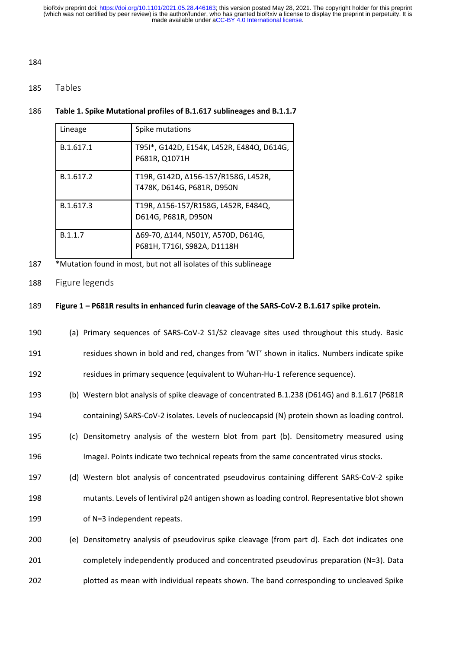### 

# Tables

## **Table 1. Spike Mutational profiles of B.1.617 sublineages and B.1.1.7**

| Lineage   | Spike mutations                                                   |
|-----------|-------------------------------------------------------------------|
| B.1.617.1 | T951*, G142D, E154K, L452R, E484Q, D614G,<br>P681R, Q1071H        |
| B.1.617.2 | T19R, G142D, Δ156-157/R158G, L452R,<br>T478K, D614G, P681R, D950N |
| B.1.617.3 | T19R, Δ156-157/R158G, L452R, E484Q,<br>D614G, P681R, D950N        |
| B.1.1.7   | Δ69-70, Δ144, N501Y, A570D, D614G,<br>P681H, T716I, S982A, D1118H |

- \*Mutation found in most, but not all isolates of this sublineage
- Figure legends

## **Figure 1 – P681R results in enhanced furin cleavage of the SARS-CoV-2 B.1.617 spike protein.**

- (a) Primary sequences of SARS-CoV-2 S1/S2 cleavage sites used throughout this study. Basic
- residues shown in bold and red, changes from 'WT' shown in italics. Numbers indicate spike

residues in primary sequence (equivalent to Wuhan-Hu-1 reference sequence).

- (b) Western blot analysis of spike cleavage of concentrated B.1.238 (D614G) and B.1.617 (P681R containing) SARS-CoV-2 isolates. Levels of nucleocapsid (N) protein shown as loading control.
- (c) Densitometry analysis of the western blot from part (b). Densitometry measured using ImageJ. Points indicate two technical repeats from the same concentrated virus stocks.
- (d) Western blot analysis of concentrated pseudovirus containing different SARS-CoV-2 spike
- mutants. Levels of lentiviral p24 antigen shown as loading control. Representative blot shown of N=3 independent repeats.
- (e) Densitometry analysis of pseudovirus spike cleavage (from part d). Each dot indicates one completely independently produced and concentrated pseudovirus preparation (N=3). Data plotted as mean with individual repeats shown. The band corresponding to uncleaved Spike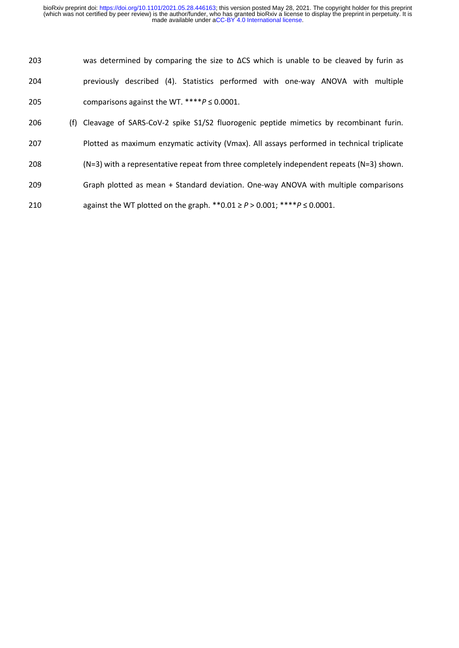- was determined by comparing the size to ΔCS which is unable to be cleaved by furin as previously described (4). Statistics performed with one-way ANOVA with multiple comparisons against the WT. \*\*\*\**P* ≤ 0.0001.
- (f) Cleavage of SARS-CoV-2 spike S1/S2 fluorogenic peptide mimetics by recombinant furin.
- Plotted as maximum enzymatic activity (Vmax). All assays performed in technical triplicate
- (N=3) with a representative repeat from three completely independent repeats (N=3) shown.
- Graph plotted as mean + Standard deviation. One-way ANOVA with multiple comparisons
- against the WT plotted on the graph. \*\*0.01 ≥ *P* > 0.001; \*\*\*\**P* ≤ 0.0001.